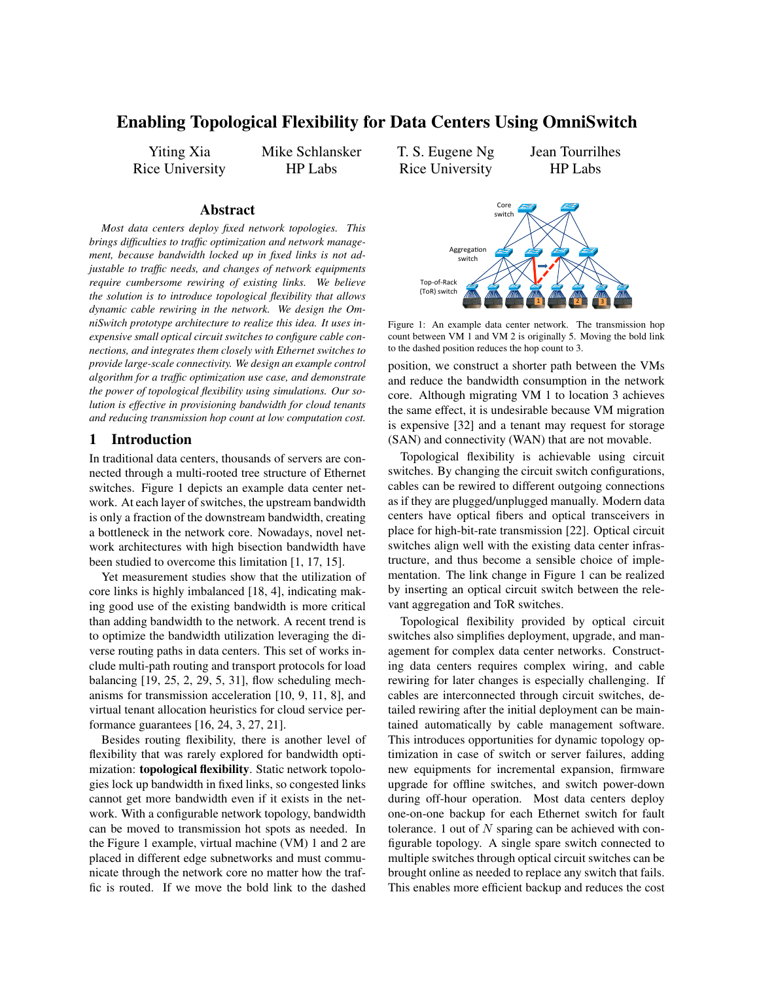# Enabling Topological Flexibility for Data Centers Using OmniSwitch

Yiting Xia Rice University Mike Schlansker HP Labs

T. S. Eugene Ng Rice University Jean Tourrilhes

HP Labs

### Abstract

*Most data centers deploy fixed network topologies. This brings difficulties to traffic optimization and network management, because bandwidth locked up in fixed links is not adjustable to traffic needs, and changes of network equipments require cumbersome rewiring of existing links. We believe the solution is to introduce topological flexibility that allows dynamic cable rewiring in the network. We design the OmniSwitch prototype architecture to realize this idea. It uses inexpensive small optical circuit switches to configure cable connections, and integrates them closely with Ethernet switches to provide large-scale connectivity. We design an example control algorithm for a traffic optimization use case, and demonstrate the power of topological flexibility using simulations. Our solution is effective in provisioning bandwidth for cloud tenants and reducing transmission hop count at low computation cost.*

# 1 Introduction

In traditional data centers, thousands of servers are connected through a multi-rooted tree structure of Ethernet switches. Figure 1 depicts an example data center network. At each layer of switches, the upstream bandwidth is only a fraction of the downstream bandwidth, creating a bottleneck in the network core. Nowadays, novel network architectures with high bisection bandwidth have been studied to overcome this limitation [1, 17, 15].

Yet measurement studies show that the utilization of core links is highly imbalanced [18, 4], indicating making good use of the existing bandwidth is more critical than adding bandwidth to the network. A recent trend is to optimize the bandwidth utilization leveraging the diverse routing paths in data centers. This set of works include multi-path routing and transport protocols for load balancing [19, 25, 2, 29, 5, 31], flow scheduling mechanisms for transmission acceleration [10, 9, 11, 8], and virtual tenant allocation heuristics for cloud service performance guarantees [16, 24, 3, 27, 21].

Besides routing flexibility, there is another level of flexibility that was rarely explored for bandwidth optimization: topological flexibility. Static network topologies lock up bandwidth in fixed links, so congested links cannot get more bandwidth even if it exists in the network. With a configurable network topology, bandwidth can be moved to transmission hot spots as needed. In the Figure 1 example, virtual machine (VM) 1 and 2 are placed in different edge subnetworks and must communicate through the network core no matter how the traffic is routed. If we move the bold link to the dashed



Figure 1: An example data center network. The transmission hop count between VM 1 and VM 2 is originally 5. Moving the bold link to the dashed position reduces the hop count to 3.

position, we construct a shorter path between the VMs and reduce the bandwidth consumption in the network core. Although migrating VM 1 to location 3 achieves the same effect, it is undesirable because VM migration is expensive [32] and a tenant may request for storage (SAN) and connectivity (WAN) that are not movable.

Topological flexibility is achievable using circuit switches. By changing the circuit switch configurations, cables can be rewired to different outgoing connections as if they are plugged/unplugged manually. Modern data centers have optical fibers and optical transceivers in place for high-bit-rate transmission [22]. Optical circuit switches align well with the existing data center infrastructure, and thus become a sensible choice of implementation. The link change in Figure 1 can be realized by inserting an optical circuit switch between the relevant aggregation and ToR switches.

Topological flexibility provided by optical circuit switches also simplifies deployment, upgrade, and management for complex data center networks. Constructing data centers requires complex wiring, and cable rewiring for later changes is especially challenging. If cables are interconnected through circuit switches, detailed rewiring after the initial deployment can be maintained automatically by cable management software. This introduces opportunities for dynamic topology optimization in case of switch or server failures, adding new equipments for incremental expansion, firmware upgrade for offline switches, and switch power-down during off-hour operation. Most data centers deploy one-on-one backup for each Ethernet switch for fault tolerance. 1 out of  $N$  sparing can be achieved with configurable topology. A single spare switch connected to multiple switches through optical circuit switches can be brought online as needed to replace any switch that fails. This enables more efficient backup and reduces the cost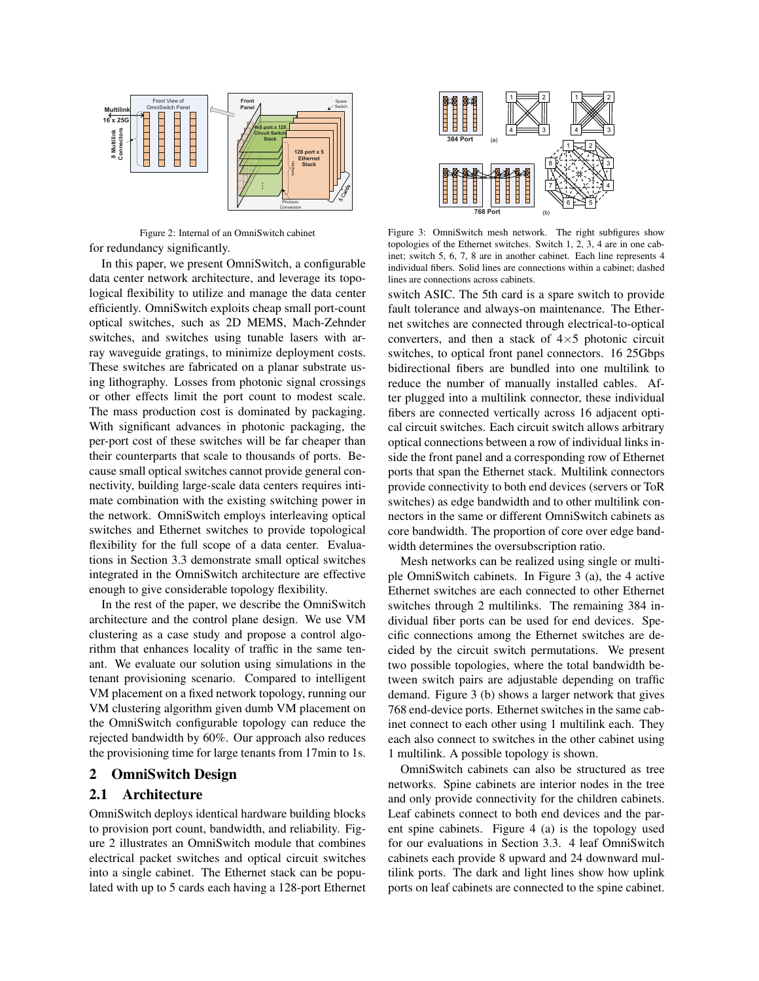

Figure 2: Internal of an OmniSwitch cabinet for redundancy significantly.

In this paper, we present OmniSwitch, a configurable data center network architecture, and leverage its topological flexibility to utilize and manage the data center efficiently. OmniSwitch exploits cheap small port-count optical switches, such as 2D MEMS, Mach-Zehnder switches, and switches using tunable lasers with array waveguide gratings, to minimize deployment costs. These switches are fabricated on a planar substrate using lithography. Losses from photonic signal crossings or other effects limit the port count to modest scale. The mass production cost is dominated by packaging. With significant advances in photonic packaging, the per-port cost of these switches will be far cheaper than their counterparts that scale to thousands of ports. Because small optical switches cannot provide general connectivity, building large-scale data centers requires intimate combination with the existing switching power in the network. OmniSwitch employs interleaving optical switches and Ethernet switches to provide topological flexibility for the full scope of a data center. Evaluations in Section 3.3 demonstrate small optical switches integrated in the OmniSwitch architecture are effective enough to give considerable topology flexibility.

In the rest of the paper, we describe the OmniSwitch architecture and the control plane design. We use VM clustering as a case study and propose a control algorithm that enhances locality of traffic in the same tenant. We evaluate our solution using simulations in the tenant provisioning scenario. Compared to intelligent VM placement on a fixed network topology, running our VM clustering algorithm given dumb VM placement on the OmniSwitch configurable topology can reduce the rejected bandwidth by 60%. Our approach also reduces the provisioning time for large tenants from 17min to 1s.

### 2 OmniSwitch Design

# 2.1 Architecture

OmniSwitch deploys identical hardware building blocks to provision port count, bandwidth, and reliability. Figure 2 illustrates an OmniSwitch module that combines electrical packet switches and optical circuit switches into a single cabinet. The Ethernet stack can be populated with up to 5 cards each having a 128-port Ethernet



Figure 3: OmniSwitch mesh network. The right subfigures show topologies of the Ethernet switches. Switch 1, 2, 3, 4 are in one cabinet; switch 5, 6, 7, 8 are in another cabinet. Each line represents 4 individual fibers. Solid lines are connections within a cabinet; dashed lines are connections across cabinets.

switch ASIC. The 5th card is a spare switch to provide fault tolerance and always-on maintenance. The Ethernet switches are connected through electrical-to-optical converters, and then a stack of  $4\times5$  photonic circuit switches, to optical front panel connectors. 16 25Gbps bidirectional fibers are bundled into one multilink to reduce the number of manually installed cables. After plugged into a multilink connector, these individual fibers are connected vertically across 16 adjacent optical circuit switches. Each circuit switch allows arbitrary optical connections between a row of individual links inside the front panel and a corresponding row of Ethernet ports that span the Ethernet stack. Multilink connectors provide connectivity to both end devices (servers or ToR switches) as edge bandwidth and to other multilink connectors in the same or different OmniSwitch cabinets as core bandwidth. The proportion of core over edge bandwidth determines the oversubscription ratio.

Mesh networks can be realized using single or multiple OmniSwitch cabinets. In Figure 3 (a), the 4 active Ethernet switches are each connected to other Ethernet switches through 2 multilinks. The remaining 384 individual fiber ports can be used for end devices. Specific connections among the Ethernet switches are decided by the circuit switch permutations. We present two possible topologies, where the total bandwidth between switch pairs are adjustable depending on traffic demand. Figure 3 (b) shows a larger network that gives 768 end-device ports. Ethernet switches in the same cabinet connect to each other using 1 multilink each. They each also connect to switches in the other cabinet using 1 multilink. A possible topology is shown.

OmniSwitch cabinets can also be structured as tree networks. Spine cabinets are interior nodes in the tree and only provide connectivity for the children cabinets. Leaf cabinets connect to both end devices and the parent spine cabinets. Figure 4 (a) is the topology used for our evaluations in Section 3.3. 4 leaf OmniSwitch cabinets each provide 8 upward and 24 downward multilink ports. The dark and light lines show how uplink ports on leaf cabinets are connected to the spine cabinet.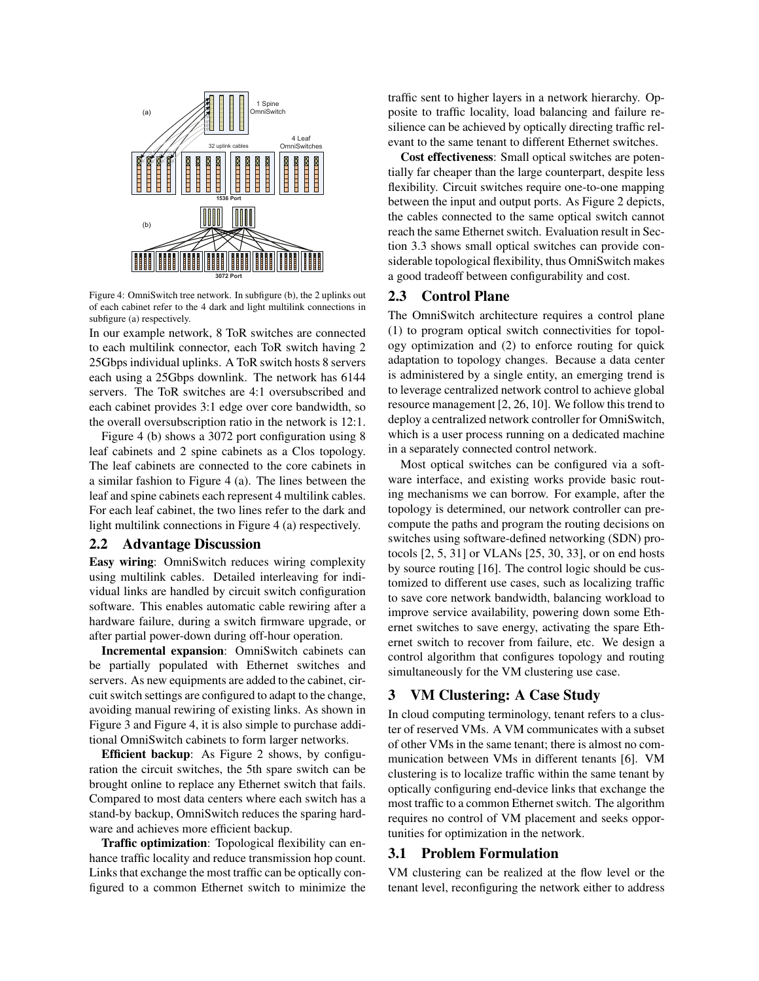

Figure 4: OmniSwitch tree network. In subfigure (b), the 2 uplinks out of each cabinet refer to the 4 dark and light multilink connections in subfigure (a) respectively.

In our example network, 8 ToR switches are connected to each multilink connector, each ToR switch having 2 25Gbps individual uplinks. A ToR switch hosts 8 servers each using a 25Gbps downlink. The network has 6144 servers. The ToR switches are 4:1 oversubscribed and each cabinet provides 3:1 edge over core bandwidth, so the overall oversubscription ratio in the network is 12:1.

Figure 4 (b) shows a 3072 port configuration using 8 leaf cabinets and 2 spine cabinets as a Clos topology. The leaf cabinets are connected to the core cabinets in a similar fashion to Figure 4 (a). The lines between the leaf and spine cabinets each represent 4 multilink cables. For each leaf cabinet, the two lines refer to the dark and light multilink connections in Figure 4 (a) respectively.

#### 2.2 Advantage Discussion

Easy wiring: OmniSwitch reduces wiring complexity using multilink cables. Detailed interleaving for individual links are handled by circuit switch configuration software. This enables automatic cable rewiring after a hardware failure, during a switch firmware upgrade, or after partial power-down during off-hour operation.

Incremental expansion: OmniSwitch cabinets can be partially populated with Ethernet switches and servers. As new equipments are added to the cabinet, circuit switch settings are configured to adapt to the change, avoiding manual rewiring of existing links. As shown in Figure 3 and Figure 4, it is also simple to purchase additional OmniSwitch cabinets to form larger networks.

Efficient backup: As Figure 2 shows, by configuration the circuit switches, the 5th spare switch can be brought online to replace any Ethernet switch that fails. Compared to most data centers where each switch has a stand-by backup, OmniSwitch reduces the sparing hardware and achieves more efficient backup.

Traffic optimization: Topological flexibility can enhance traffic locality and reduce transmission hop count. Links that exchange the most traffic can be optically configured to a common Ethernet switch to minimize the traffic sent to higher layers in a network hierarchy. Opposite to traffic locality, load balancing and failure resilience can be achieved by optically directing traffic relevant to the same tenant to different Ethernet switches.

Cost effectiveness: Small optical switches are potentially far cheaper than the large counterpart, despite less flexibility. Circuit switches require one-to-one mapping between the input and output ports. As Figure 2 depicts, the cables connected to the same optical switch cannot reach the same Ethernet switch. Evaluation result in Section 3.3 shows small optical switches can provide considerable topological flexibility, thus OmniSwitch makes a good tradeoff between configurability and cost.

#### 2.3 Control Plane

The OmniSwitch architecture requires a control plane (1) to program optical switch connectivities for topology optimization and (2) to enforce routing for quick adaptation to topology changes. Because a data center is administered by a single entity, an emerging trend is to leverage centralized network control to achieve global resource management [2, 26, 10]. We follow this trend to deploy a centralized network controller for OmniSwitch, which is a user process running on a dedicated machine in a separately connected control network.

Most optical switches can be configured via a software interface, and existing works provide basic routing mechanisms we can borrow. For example, after the topology is determined, our network controller can precompute the paths and program the routing decisions on switches using software-defined networking (SDN) protocols [2, 5, 31] or VLANs [25, 30, 33], or on end hosts by source routing [16]. The control logic should be customized to different use cases, such as localizing traffic to save core network bandwidth, balancing workload to improve service availability, powering down some Ethernet switches to save energy, activating the spare Ethernet switch to recover from failure, etc. We design a control algorithm that configures topology and routing simultaneously for the VM clustering use case.

#### 3 VM Clustering: A Case Study

In cloud computing terminology, tenant refers to a cluster of reserved VMs. A VM communicates with a subset of other VMs in the same tenant; there is almost no communication between VMs in different tenants [6]. VM clustering is to localize traffic within the same tenant by optically configuring end-device links that exchange the most traffic to a common Ethernet switch. The algorithm requires no control of VM placement and seeks opportunities for optimization in the network.

### 3.1 Problem Formulation

VM clustering can be realized at the flow level or the tenant level, reconfiguring the network either to address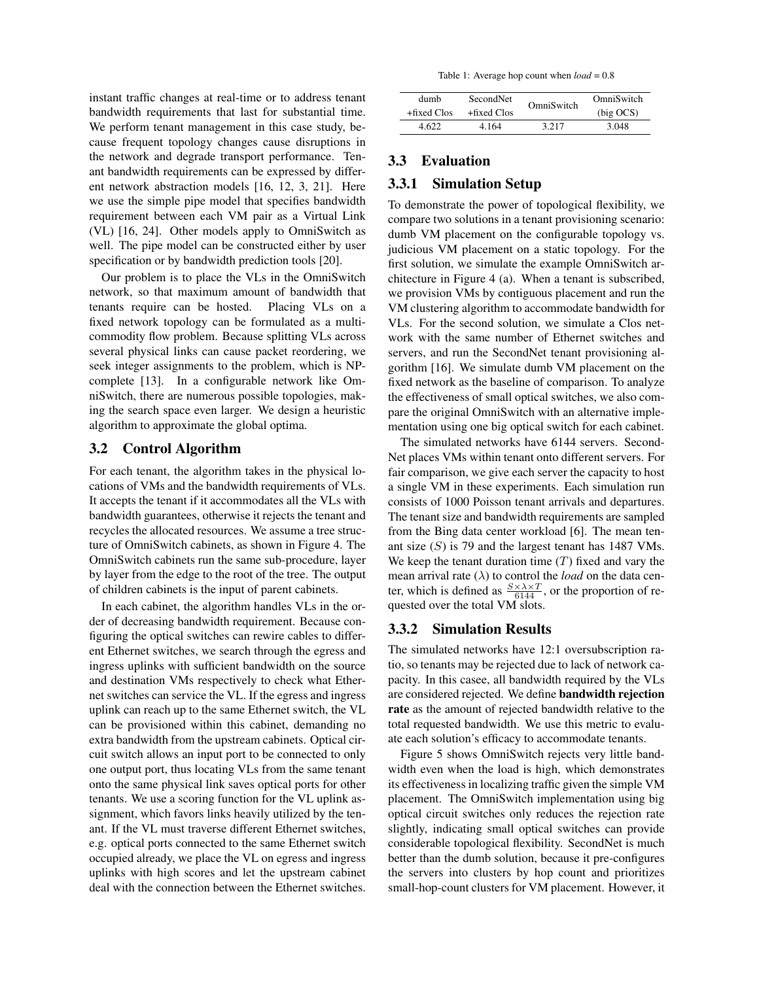instant traffic changes at real-time or to address tenant bandwidth requirements that last for substantial time. We perform tenant management in this case study, because frequent topology changes cause disruptions in the network and degrade transport performance. Tenant bandwidth requirements can be expressed by different network abstraction models [16, 12, 3, 21]. Here we use the simple pipe model that specifies bandwidth requirement between each VM pair as a Virtual Link (VL) [16, 24]. Other models apply to OmniSwitch as well. The pipe model can be constructed either by user specification or by bandwidth prediction tools [20].

Our problem is to place the VLs in the OmniSwitch network, so that maximum amount of bandwidth that tenants require can be hosted. Placing VLs on a fixed network topology can be formulated as a multicommodity flow problem. Because splitting VLs across several physical links can cause packet reordering, we seek integer assignments to the problem, which is NPcomplete [13]. In a configurable network like OmniSwitch, there are numerous possible topologies, making the search space even larger. We design a heuristic algorithm to approximate the global optima.

### 3.2 Control Algorithm

For each tenant, the algorithm takes in the physical locations of VMs and the bandwidth requirements of VLs. It accepts the tenant if it accommodates all the VLs with bandwidth guarantees, otherwise it rejects the tenant and recycles the allocated resources. We assume a tree structure of OmniSwitch cabinets, as shown in Figure 4. The OmniSwitch cabinets run the same sub-procedure, layer by layer from the edge to the root of the tree. The output of children cabinets is the input of parent cabinets.

In each cabinet, the algorithm handles VLs in the order of decreasing bandwidth requirement. Because configuring the optical switches can rewire cables to different Ethernet switches, we search through the egress and ingress uplinks with sufficient bandwidth on the source and destination VMs respectively to check what Ethernet switches can service the VL. If the egress and ingress uplink can reach up to the same Ethernet switch, the VL can be provisioned within this cabinet, demanding no extra bandwidth from the upstream cabinets. Optical circuit switch allows an input port to be connected to only one output port, thus locating VLs from the same tenant onto the same physical link saves optical ports for other tenants. We use a scoring function for the VL uplink assignment, which favors links heavily utilized by the tenant. If the VL must traverse different Ethernet switches, e.g. optical ports connected to the same Ethernet switch occupied already, we place the VL on egress and ingress uplinks with high scores and let the upstream cabinet deal with the connection between the Ethernet switches.

|  |  | Table 1: Average hop count when $load = 0.8$ |  |  |  |  |
|--|--|----------------------------------------------|--|--|--|--|
|--|--|----------------------------------------------|--|--|--|--|

| dumb           | SecondNet      | OmniSwitch | OmniSwitch |  |  |
|----------------|----------------|------------|------------|--|--|
| $+$ fixed Clos | $+$ fixed Clos |            | (big OCS)  |  |  |
| 4.622          | 4 164          | 3.217      | 3.048      |  |  |

#### 3.3 Evaluation

### 3.3.1 Simulation Setup

To demonstrate the power of topological flexibility, we compare two solutions in a tenant provisioning scenario: dumb VM placement on the configurable topology vs. judicious VM placement on a static topology. For the first solution, we simulate the example OmniSwitch architecture in Figure 4 (a). When a tenant is subscribed, we provision VMs by contiguous placement and run the VM clustering algorithm to accommodate bandwidth for VLs. For the second solution, we simulate a Clos network with the same number of Ethernet switches and servers, and run the SecondNet tenant provisioning algorithm [16]. We simulate dumb VM placement on the fixed network as the baseline of comparison. To analyze the effectiveness of small optical switches, we also compare the original OmniSwitch with an alternative implementation using one big optical switch for each cabinet.

The simulated networks have 6144 servers. Second-Net places VMs within tenant onto different servers. For fair comparison, we give each server the capacity to host a single VM in these experiments. Each simulation run consists of 1000 Poisson tenant arrivals and departures. The tenant size and bandwidth requirements are sampled from the Bing data center workload [6]. The mean tenant size  $(S)$  is 79 and the largest tenant has 1487 VMs. We keep the tenant duration time  $(T)$  fixed and vary the mean arrival rate  $(\lambda)$  to control the *load* on the data center, which is defined as  $\frac{S \times \lambda \times T}{6144}$ , or the proportion of requested over the total VM slots.

#### 3.3.2 Simulation Results

The simulated networks have 12:1 oversubscription ratio, so tenants may be rejected due to lack of network capacity. In this casee, all bandwidth required by the VLs are considered rejected. We define bandwidth rejection rate as the amount of rejected bandwidth relative to the total requested bandwidth. We use this metric to evaluate each solution's efficacy to accommodate tenants.

Figure 5 shows OmniSwitch rejects very little bandwidth even when the load is high, which demonstrates its effectiveness in localizing traffic given the simple VM placement. The OmniSwitch implementation using big optical circuit switches only reduces the rejection rate slightly, indicating small optical switches can provide considerable topological flexibility. SecondNet is much better than the dumb solution, because it pre-configures the servers into clusters by hop count and prioritizes small-hop-count clusters for VM placement. However, it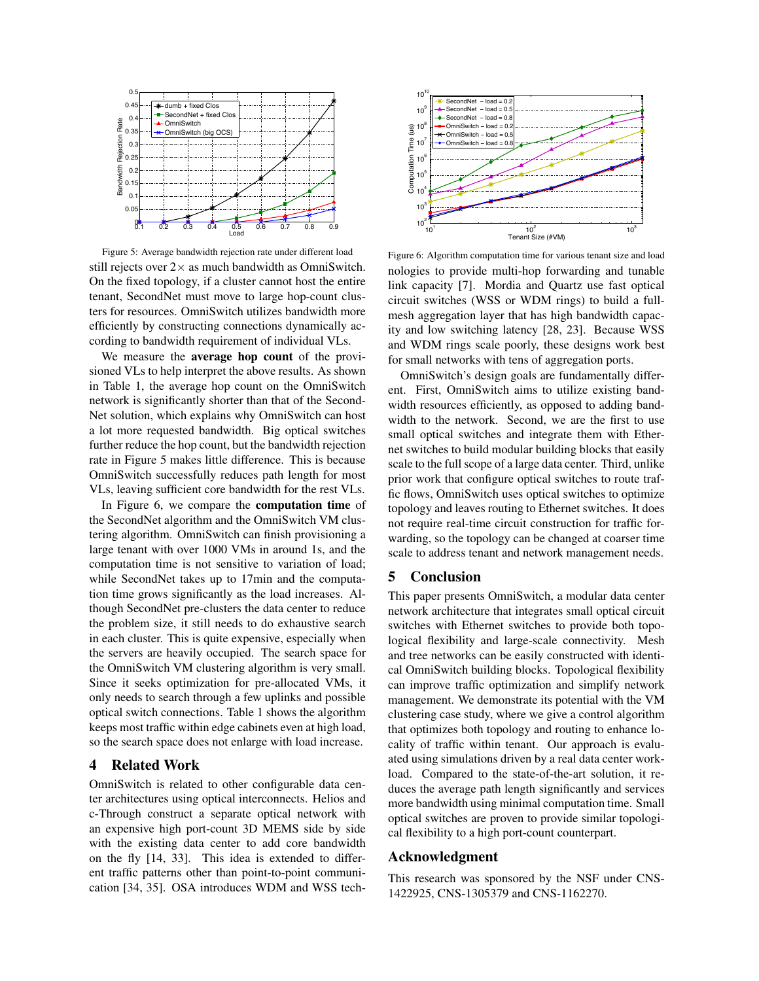

Figure 5: Average bandwidth rejection rate under different load still rejects over  $2\times$  as much bandwidth as OmniSwitch. On the fixed topology, if a cluster cannot host the entire tenant, SecondNet must move to large hop-count clusters for resources. OmniSwitch utilizes bandwidth more efficiently by constructing connections dynamically according to bandwidth requirement of individual VLs.

We measure the average hop count of the provisioned VLs to help interpret the above results. As shown in Table 1, the average hop count on the OmniSwitch network is significantly shorter than that of the Second-Net solution, which explains why OmniSwitch can host a lot more requested bandwidth. Big optical switches further reduce the hop count, but the bandwidth rejection rate in Figure 5 makes little difference. This is because OmniSwitch successfully reduces path length for most VLs, leaving sufficient core bandwidth for the rest VLs.

In Figure 6, we compare the computation time of the SecondNet algorithm and the OmniSwitch VM clustering algorithm. OmniSwitch can finish provisioning a large tenant with over 1000 VMs in around 1s, and the computation time is not sensitive to variation of load; while SecondNet takes up to 17min and the computation time grows significantly as the load increases. Although SecondNet pre-clusters the data center to reduce the problem size, it still needs to do exhaustive search in each cluster. This is quite expensive, especially when the servers are heavily occupied. The search space for the OmniSwitch VM clustering algorithm is very small. Since it seeks optimization for pre-allocated VMs, it only needs to search through a few uplinks and possible optical switch connections. Table 1 shows the algorithm keeps most traffic within edge cabinets even at high load, so the search space does not enlarge with load increase.

### 4 Related Work

OmniSwitch is related to other configurable data center architectures using optical interconnects. Helios and c-Through construct a separate optical network with an expensive high port-count 3D MEMS side by side with the existing data center to add core bandwidth on the fly [14, 33]. This idea is extended to different traffic patterns other than point-to-point communication [34, 35]. OSA introduces WDM and WSS tech-



Figure 6: Algorithm computation time for various tenant size and load nologies to provide multi-hop forwarding and tunable link capacity [7]. Mordia and Quartz use fast optical circuit switches (WSS or WDM rings) to build a fullmesh aggregation layer that has high bandwidth capacity and low switching latency [28, 23]. Because WSS and WDM rings scale poorly, these designs work best for small networks with tens of aggregation ports.

OmniSwitch's design goals are fundamentally different. First, OmniSwitch aims to utilize existing bandwidth resources efficiently, as opposed to adding bandwidth to the network. Second, we are the first to use small optical switches and integrate them with Ethernet switches to build modular building blocks that easily scale to the full scope of a large data center. Third, unlike prior work that configure optical switches to route traffic flows, OmniSwitch uses optical switches to optimize topology and leaves routing to Ethernet switches. It does not require real-time circuit construction for traffic forwarding, so the topology can be changed at coarser time scale to address tenant and network management needs.

#### 5 Conclusion

This paper presents OmniSwitch, a modular data center network architecture that integrates small optical circuit switches with Ethernet switches to provide both topological flexibility and large-scale connectivity. Mesh and tree networks can be easily constructed with identical OmniSwitch building blocks. Topological flexibility can improve traffic optimization and simplify network management. We demonstrate its potential with the VM clustering case study, where we give a control algorithm that optimizes both topology and routing to enhance locality of traffic within tenant. Our approach is evaluated using simulations driven by a real data center workload. Compared to the state-of-the-art solution, it reduces the average path length significantly and services more bandwidth using minimal computation time. Small optical switches are proven to provide similar topological flexibility to a high port-count counterpart.

### Acknowledgment

This research was sponsored by the NSF under CNS-1422925, CNS-1305379 and CNS-1162270.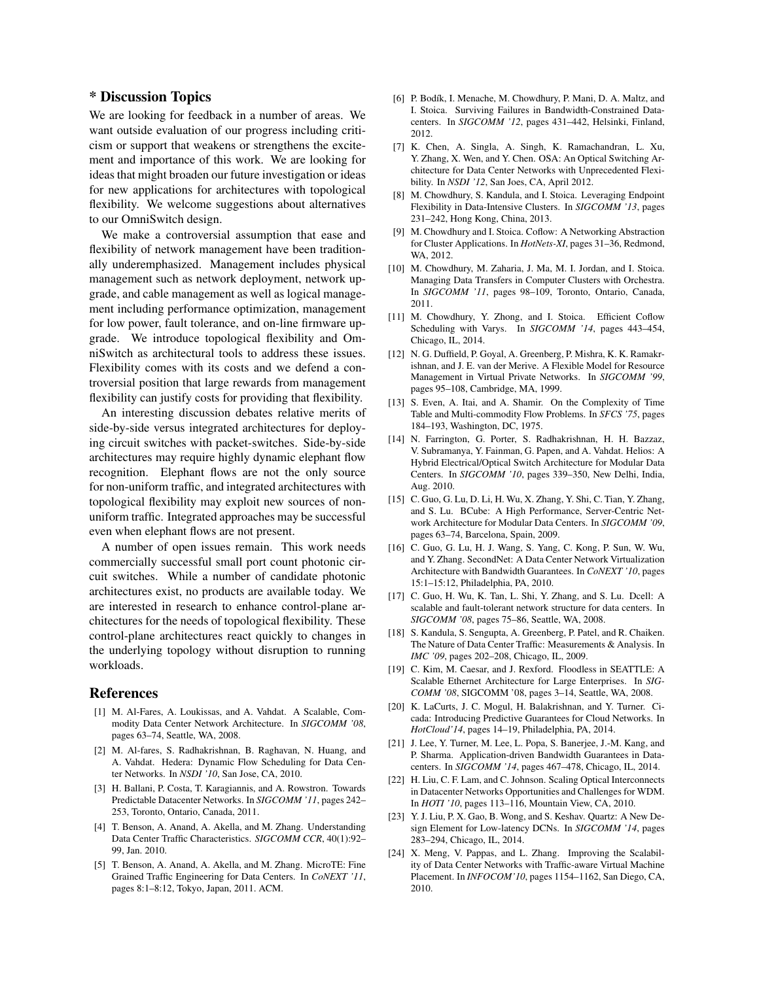# \* Discussion Topics

We are looking for feedback in a number of areas. We want outside evaluation of our progress including criticism or support that weakens or strengthens the excitement and importance of this work. We are looking for ideas that might broaden our future investigation or ideas for new applications for architectures with topological flexibility. We welcome suggestions about alternatives to our OmniSwitch design.

We make a controversial assumption that ease and flexibility of network management have been traditionally underemphasized. Management includes physical management such as network deployment, network upgrade, and cable management as well as logical management including performance optimization, management for low power, fault tolerance, and on-line firmware upgrade. We introduce topological flexibility and OmniSwitch as architectural tools to address these issues. Flexibility comes with its costs and we defend a controversial position that large rewards from management flexibility can justify costs for providing that flexibility.

An interesting discussion debates relative merits of side-by-side versus integrated architectures for deploying circuit switches with packet-switches. Side-by-side architectures may require highly dynamic elephant flow recognition. Elephant flows are not the only source for non-uniform traffic, and integrated architectures with topological flexibility may exploit new sources of nonuniform traffic. Integrated approaches may be successful even when elephant flows are not present.

A number of open issues remain. This work needs commercially successful small port count photonic circuit switches. While a number of candidate photonic architectures exist, no products are available today. We are interested in research to enhance control-plane architectures for the needs of topological flexibility. These control-plane architectures react quickly to changes in the underlying topology without disruption to running workloads.

#### References

- [1] M. Al-Fares, A. Loukissas, and A. Vahdat. A Scalable, Commodity Data Center Network Architecture. In *SIGCOMM '08*, pages 63–74, Seattle, WA, 2008.
- [2] M. Al-fares, S. Radhakrishnan, B. Raghavan, N. Huang, and A. Vahdat. Hedera: Dynamic Flow Scheduling for Data Center Networks. In *NSDI '10*, San Jose, CA, 2010.
- [3] H. Ballani, P. Costa, T. Karagiannis, and A. Rowstron. Towards Predictable Datacenter Networks. In *SIGCOMM '11*, pages 242– 253, Toronto, Ontario, Canada, 2011.
- [4] T. Benson, A. Anand, A. Akella, and M. Zhang. Understanding Data Center Traffic Characteristics. *SIGCOMM CCR*, 40(1):92– 99, Jan. 2010.
- [5] T. Benson, A. Anand, A. Akella, and M. Zhang. MicroTE: Fine Grained Traffic Engineering for Data Centers. In *CoNEXT '11*, pages 8:1–8:12, Tokyo, Japan, 2011. ACM.
- [6] P. Bodík, I. Menache, M. Chowdhury, P. Mani, D. A. Maltz, and I. Stoica. Surviving Failures in Bandwidth-Constrained Datacenters. In *SIGCOMM '12*, pages 431–442, Helsinki, Finland, 2012.
- [7] K. Chen, A. Singla, A. Singh, K. Ramachandran, L. Xu, Y. Zhang, X. Wen, and Y. Chen. OSA: An Optical Switching Architecture for Data Center Networks with Unprecedented Flexibility. In *NSDI '12*, San Joes, CA, April 2012.
- M. Chowdhury, S. Kandula, and I. Stoica. Leveraging Endpoint Flexibility in Data-Intensive Clusters. In *SIGCOMM '13*, pages 231–242, Hong Kong, China, 2013.
- [9] M. Chowdhury and I. Stoica. Coflow: A Networking Abstraction for Cluster Applications. In *HotNets-XI*, pages 31–36, Redmond, WA, 2012.
- [10] M. Chowdhury, M. Zaharia, J. Ma, M. I. Jordan, and I. Stoica. Managing Data Transfers in Computer Clusters with Orchestra. In *SIGCOMM '11*, pages 98–109, Toronto, Ontario, Canada, 2011.
- [11] M. Chowdhury, Y. Zhong, and I. Stoica. Efficient Coflow Scheduling with Varys. In *SIGCOMM '14*, pages 443–454, Chicago, IL, 2014.
- [12] N. G. Duffield, P. Goyal, A. Greenberg, P. Mishra, K. K. Ramakrishnan, and J. E. van der Merive. A Flexible Model for Resource Management in Virtual Private Networks. In *SIGCOMM '99*, pages 95–108, Cambridge, MA, 1999.
- [13] S. Even, A. Itai, and A. Shamir. On the Complexity of Time Table and Multi-commodity Flow Problems. In *SFCS '75*, pages 184–193, Washington, DC, 1975.
- [14] N. Farrington, G. Porter, S. Radhakrishnan, H. H. Bazzaz, V. Subramanya, Y. Fainman, G. Papen, and A. Vahdat. Helios: A Hybrid Electrical/Optical Switch Architecture for Modular Data Centers. In *SIGCOMM '10*, pages 339–350, New Delhi, India, Aug. 2010.
- [15] C. Guo, G. Lu, D. Li, H. Wu, X. Zhang, Y. Shi, C. Tian, Y. Zhang, and S. Lu. BCube: A High Performance, Server-Centric Network Architecture for Modular Data Centers. In *SIGCOMM '09*, pages 63–74, Barcelona, Spain, 2009.
- [16] C. Guo, G. Lu, H. J. Wang, S. Yang, C. Kong, P. Sun, W. Wu, and Y. Zhang. SecondNet: A Data Center Network Virtualization Architecture with Bandwidth Guarantees. In *CoNEXT '10*, pages 15:1–15:12, Philadelphia, PA, 2010.
- [17] C. Guo, H. Wu, K. Tan, L. Shi, Y. Zhang, and S. Lu. Dcell: A scalable and fault-tolerant network structure for data centers. In *SIGCOMM '08*, pages 75–86, Seattle, WA, 2008.
- [18] S. Kandula, S. Sengupta, A. Greenberg, P. Patel, and R. Chaiken. The Nature of Data Center Traffic: Measurements & Analysis. In *IMC '09*, pages 202–208, Chicago, IL, 2009.
- [19] C. Kim, M. Caesar, and J. Rexford. Floodless in SEATTLE: A Scalable Ethernet Architecture for Large Enterprises. In *SIG-COMM '08*, SIGCOMM '08, pages 3–14, Seattle, WA, 2008.
- [20] K. LaCurts, J. C. Mogul, H. Balakrishnan, and Y. Turner. Cicada: Introducing Predictive Guarantees for Cloud Networks. In *HotCloud'14*, pages 14–19, Philadelphia, PA, 2014.
- [21] J. Lee, Y. Turner, M. Lee, L. Popa, S. Banerjee, J.-M. Kang, and P. Sharma. Application-driven Bandwidth Guarantees in Datacenters. In *SIGCOMM '14*, pages 467–478, Chicago, IL, 2014.
- [22] H. Liu, C. F. Lam, and C. Johnson. Scaling Optical Interconnects in Datacenter Networks Opportunities and Challenges for WDM. In *HOTI '10*, pages 113–116, Mountain View, CA, 2010.
- [23] Y. J. Liu, P. X. Gao, B. Wong, and S. Keshav. Quartz: A New Design Element for Low-latency DCNs. In *SIGCOMM '14*, pages 283–294, Chicago, IL, 2014.
- [24] X. Meng, V. Pappas, and L. Zhang. Improving the Scalability of Data Center Networks with Traffic-aware Virtual Machine Placement. In *INFOCOM'10*, pages 1154–1162, San Diego, CA, 2010.